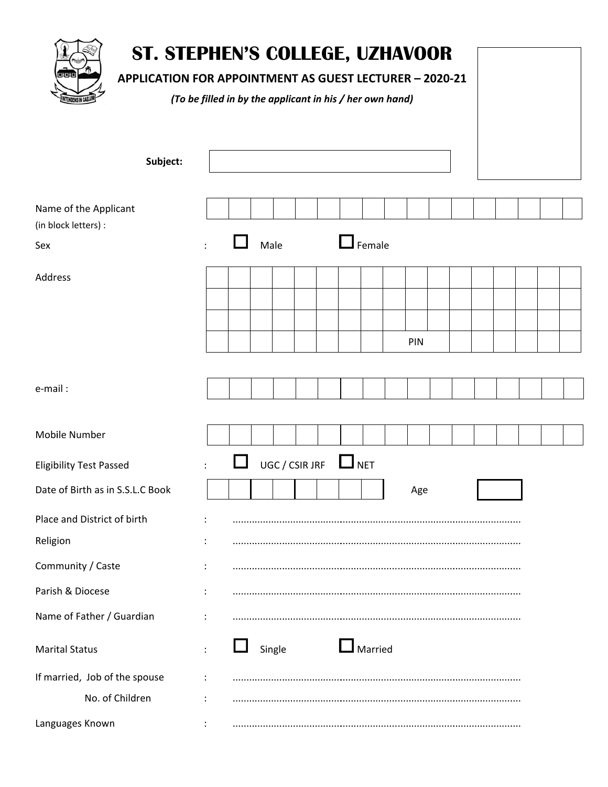| ST. STEPHEN'S COLLEGE, UZHAVOOR<br>여야<br><b>APPLICATION FOR APPOINTMENT AS GUEST LECTURER - 2020-21</b> | (To be filled in by the applicant in his / her own hand) |      |        |                |            |               |     |  |  |  |
|---------------------------------------------------------------------------------------------------------|----------------------------------------------------------|------|--------|----------------|------------|---------------|-----|--|--|--|
| Subject:                                                                                                |                                                          |      |        |                |            |               |     |  |  |  |
| Name of the Applicant<br>(in block letters) :                                                           |                                                          |      |        |                |            |               |     |  |  |  |
| Sex                                                                                                     |                                                          | Male |        |                |            | $\Box$ Female |     |  |  |  |
| <b>Address</b>                                                                                          |                                                          |      |        |                |            |               |     |  |  |  |
|                                                                                                         |                                                          |      |        |                |            |               |     |  |  |  |
|                                                                                                         |                                                          |      |        |                |            |               |     |  |  |  |
|                                                                                                         |                                                          |      |        |                |            |               | PIN |  |  |  |
|                                                                                                         |                                                          |      |        |                |            |               |     |  |  |  |
| e-mail:                                                                                                 |                                                          |      |        |                |            |               |     |  |  |  |
| <b>Mobile Number</b>                                                                                    |                                                          |      |        |                |            |               |     |  |  |  |
| <b>Eligibility Test Passed</b>                                                                          |                                                          |      |        | UGC / CSIR JRF | $\Box$ NET |               |     |  |  |  |
| Date of Birth as in S.S.L.C Book                                                                        |                                                          |      |        |                |            |               | Age |  |  |  |
| Place and District of birth                                                                             |                                                          |      |        |                |            |               |     |  |  |  |
| Religion                                                                                                |                                                          |      |        |                |            |               |     |  |  |  |
| Community / Caste                                                                                       |                                                          |      |        |                |            |               |     |  |  |  |
| Parish & Diocese                                                                                        |                                                          |      |        |                |            |               |     |  |  |  |
| Name of Father / Guardian                                                                               |                                                          |      |        |                |            |               |     |  |  |  |
|                                                                                                         |                                                          |      |        |                |            |               |     |  |  |  |
| <b>Marital Status</b>                                                                                   |                                                          |      | Single |                |            | Married       |     |  |  |  |

 $\ddot{\cdot}$ 

 $\ddot{\cdot}$ 

 $\div$ 

Languages Known

If married, Job of the spouse

No. of Children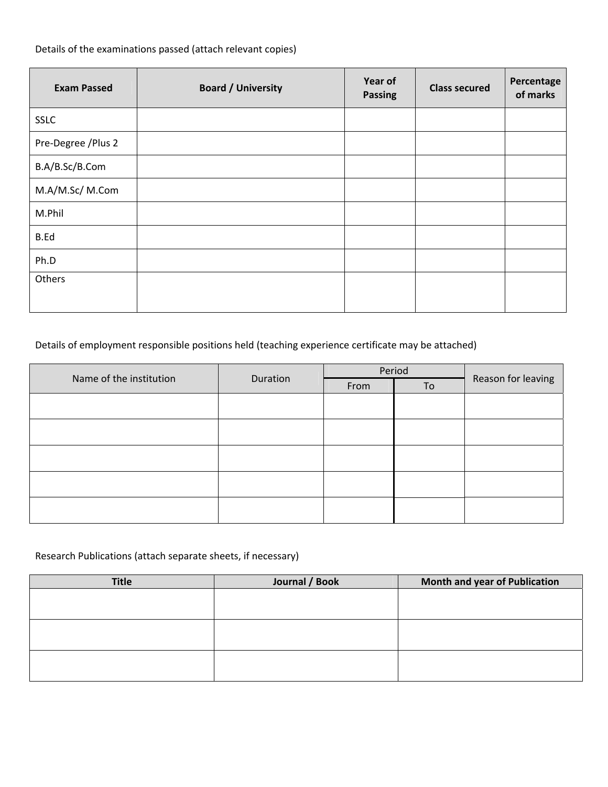Details of the examinations passed (attach relevant copies)

| <b>Exam Passed</b>  | <b>Board / University</b> | Year of<br><b>Passing</b> | <b>Class secured</b> | Percentage<br>of marks |
|---------------------|---------------------------|---------------------------|----------------------|------------------------|
| <b>SSLC</b>         |                           |                           |                      |                        |
| Pre-Degree / Plus 2 |                           |                           |                      |                        |
| B.A/B.Sc/B.Com      |                           |                           |                      |                        |
| M.A/M.Sc/ M.Com     |                           |                           |                      |                        |
| M.Phil              |                           |                           |                      |                        |
| <b>B.Ed</b>         |                           |                           |                      |                        |
| Ph.D                |                           |                           |                      |                        |
| Others              |                           |                           |                      |                        |

## Details of employment responsible positions held (teaching experience certificate may be attached)

| Name of the institution | Duration |      | Period | Reason for leaving |  |
|-------------------------|----------|------|--------|--------------------|--|
|                         |          | From | To     |                    |  |
|                         |          |      |        |                    |  |
|                         |          |      |        |                    |  |
|                         |          |      |        |                    |  |
|                         |          |      |        |                    |  |
|                         |          |      |        |                    |  |
|                         |          |      |        |                    |  |
|                         |          |      |        |                    |  |
|                         |          |      |        |                    |  |
|                         |          |      |        |                    |  |
|                         |          |      |        |                    |  |

## Research Publications (attach separate sheets, if necessary)

| <b>Title</b> | Journal / Book | Month and year of Publication |
|--------------|----------------|-------------------------------|
|              |                |                               |
|              |                |                               |
|              |                |                               |
|              |                |                               |
|              |                |                               |
|              |                |                               |